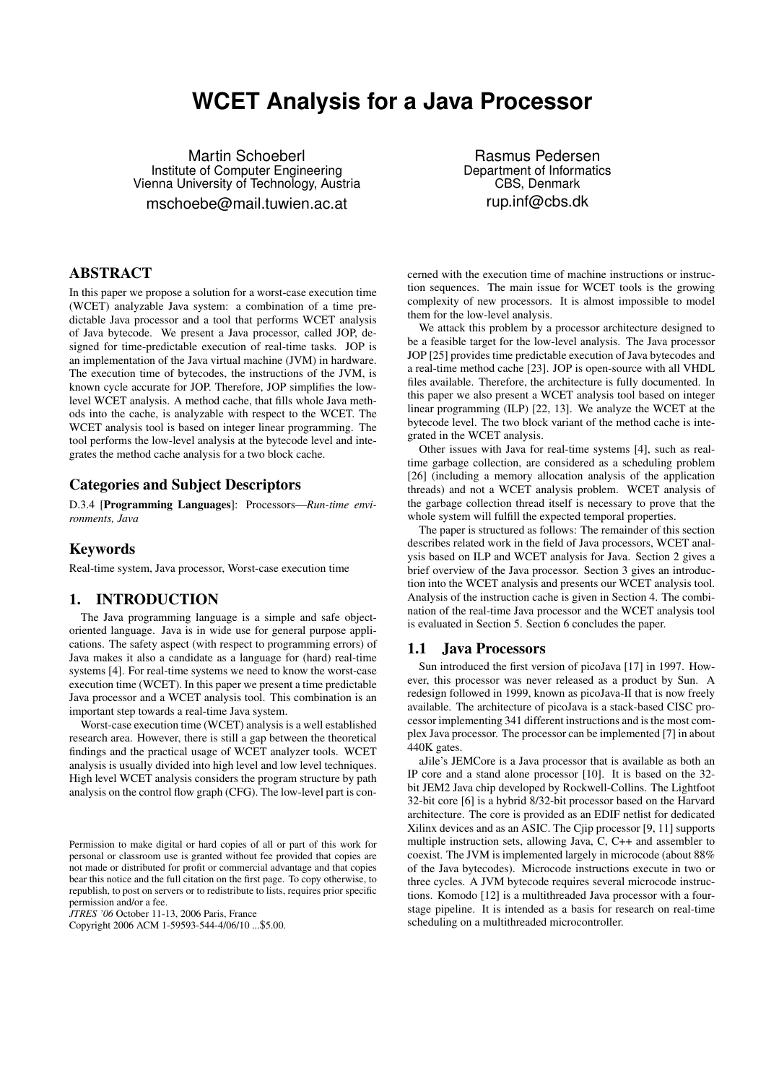# **WCET Analysis for a Java Processor**

Martin Schoeberl Institute of Computer Engineering Vienna University of Technology, Austria mschoebe@mail.tuwien.ac.at

Rasmus Pedersen Department of Informatics CBS, Denmark rup.inf@cbs.dk

# ABSTRACT

In this paper we propose a solution for a worst-case execution time (WCET) analyzable Java system: a combination of a time predictable Java processor and a tool that performs WCET analysis of Java bytecode. We present a Java processor, called JOP, designed for time-predictable execution of real-time tasks. JOP is an implementation of the Java virtual machine (JVM) in hardware. The execution time of bytecodes, the instructions of the JVM, is known cycle accurate for JOP. Therefore, JOP simplifies the lowlevel WCET analysis. A method cache, that fills whole Java methods into the cache, is analyzable with respect to the WCET. The WCET analysis tool is based on integer linear programming. The tool performs the low-level analysis at the bytecode level and integrates the method cache analysis for a two block cache.

# Categories and Subject Descriptors

D.3.4 [Programming Languages]: Processors—*Run-time environments, Java*

# Keywords

Real-time system, Java processor, Worst-case execution time

# 1. INTRODUCTION

The Java programming language is a simple and safe objectoriented language. Java is in wide use for general purpose applications. The safety aspect (with respect to programming errors) of Java makes it also a candidate as a language for (hard) real-time systems [\[4\]](#page-9-0). For real-time systems we need to know the worst-case execution time (WCET). In this paper we present a time predictable Java processor and a WCET analysis tool. This combination is an important step towards a real-time Java system.

Worst-case execution time (WCET) analysis is a well established research area. However, there is still a gap between the theoretical findings and the practical usage of WCET analyzer tools. WCET analysis is usually divided into high level and low level techniques. High level WCET analysis considers the program structure by path analysis on the control flow graph (CFG). The low-level part is con-

*JTRES '06* October 11-13, 2006 Paris, France

Copyright 2006 ACM 1-59593-544-4/06/10 ...\$5.00.

cerned with the execution time of machine instructions or instruction sequences. The main issue for WCET tools is the growing complexity of new processors. It is almost impossible to model them for the low-level analysis.

We attack this problem by a processor architecture designed to be a feasible target for the low-level analysis. The Java processor JOP [\[25\]](#page-9-1) provides time predictable execution of Java bytecodes and a real-time method cache [\[23\]](#page-9-2). JOP is open-source with all VHDL files available. Therefore, the architecture is fully documented. In this paper we also present a WCET analysis tool based on integer linear programming (ILP) [\[22,](#page-9-3) [13\]](#page-9-4). We analyze the WCET at the bytecode level. The two block variant of the method cache is integrated in the WCET analysis.

Other issues with Java for real-time systems [\[4\]](#page-9-0), such as realtime garbage collection, are considered as a scheduling problem [\[26\]](#page-9-5) (including a memory allocation analysis of the application threads) and not a WCET analysis problem. WCET analysis of the garbage collection thread itself is necessary to prove that the whole system will fulfill the expected temporal properties.

The paper is structured as follows: The remainder of this section describes related work in the field of Java processors, WCET analysis based on ILP and WCET analysis for Java. Section [2](#page-1-0) gives a brief overview of the Java processor. Section [3](#page-3-0) gives an introduction into the WCET analysis and presents our WCET analysis tool. Analysis of the instruction cache is given in Section [4.](#page-6-0) The combination of the real-time Java processor and the WCET analysis tool is evaluated in Section [5.](#page-8-0) Section [6](#page-8-1) concludes the paper.

#### <span id="page-0-0"></span>1.1 Java Processors

Sun introduced the first version of picoJava [\[17\]](#page-9-6) in 1997. However, this processor was never released as a product by Sun. A redesign followed in 1999, known as picoJava-II that is now freely available. The architecture of picoJava is a stack-based CISC processor implementing 341 different instructions and is the most complex Java processor. The processor can be implemented [\[7\]](#page-9-7) in about 440K gates.

aJile's JEMCore is a Java processor that is available as both an IP core and a stand alone processor [\[10\]](#page-9-8). It is based on the 32 bit JEM2 Java chip developed by Rockwell-Collins. The Lightfoot 32-bit core [\[6\]](#page-9-9) is a hybrid 8/32-bit processor based on the Harvard architecture. The core is provided as an EDIF netlist for dedicated Xilinx devices and as an ASIC. The Cjip processor [\[9,](#page-9-10) [11\]](#page-9-11) supports multiple instruction sets, allowing Java, C, C++ and assembler to coexist. The JVM is implemented largely in microcode (about 88% of the Java bytecodes). Microcode instructions execute in two or three cycles. A JVM bytecode requires several microcode instructions. Komodo [\[12\]](#page-9-12) is a multithreaded Java processor with a fourstage pipeline. It is intended as a basis for research on real-time scheduling on a multithreaded microcontroller.

Permission to make digital or hard copies of all or part of this work for personal or classroom use is granted without fee provided that copies are not made or distributed for profit or commercial advantage and that copies bear this notice and the full citation on the first page. To copy otherwise, to republish, to post on servers or to redistribute to lists, requires prior specific permission and/or a fee.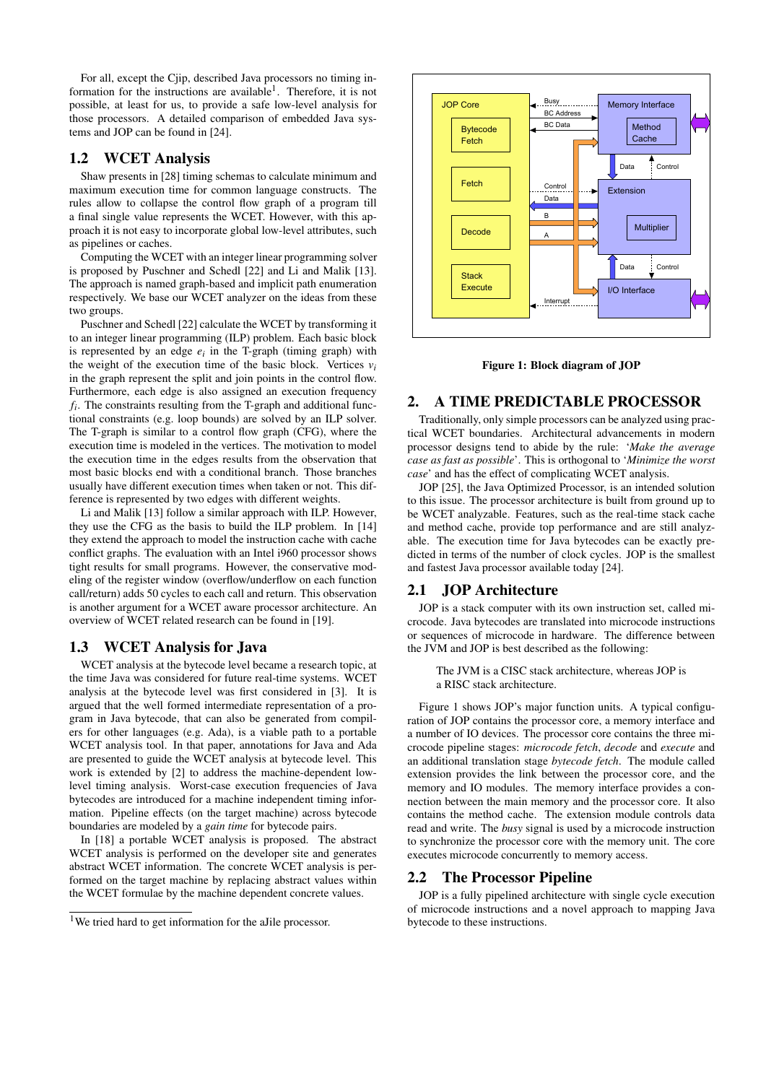For all, except the Cjip, described Java processors no timing in-formation for the instructions are available<sup>[1](#page-1-1)</sup>. Therefore, it is not possible, at least for us, to provide a safe low-level analysis for those processors. A detailed comparison of embedded Java systems and JOP can be found in [\[24\]](#page-9-13).

# 1.2 WCET Analysis

Shaw presents in [\[28\]](#page-9-14) timing schemas to calculate minimum and maximum execution time for common language constructs. The rules allow to collapse the control flow graph of a program till a final single value represents the WCET. However, with this approach it is not easy to incorporate global low-level attributes, such as pipelines or caches.

Computing the WCET with an integer linear programming solver is proposed by Puschner and Schedl [\[22\]](#page-9-3) and Li and Malik [\[13\]](#page-9-4). The approach is named graph-based and implicit path enumeration respectively. We base our WCET analyzer on the ideas from these two groups.

Puschner and Schedl [\[22\]](#page-9-3) calculate the WCET by transforming it to an integer linear programming (ILP) problem. Each basic block is represented by an edge  $e_i$  in the T-graph (timing graph) with the weight of the execution time of the basic block. Vertices  $v_i$ in the graph represent the split and join points in the control flow. Furthermore, each edge is also assigned an execution frequency *fi* . The constraints resulting from the T-graph and additional functional constraints (e.g. loop bounds) are solved by an ILP solver. The T-graph is similar to a control flow graph (CFG), where the execution time is modeled in the vertices. The motivation to model the execution time in the edges results from the observation that most basic blocks end with a conditional branch. Those branches usually have different execution times when taken or not. This difference is represented by two edges with different weights.

Li and Malik [\[13\]](#page-9-4) follow a similar approach with ILP. However, they use the CFG as the basis to build the ILP problem. In [\[14\]](#page-9-15) they extend the approach to model the instruction cache with cache conflict graphs. The evaluation with an Intel i960 processor shows tight results for small programs. However, the conservative modeling of the register window (overflow/underflow on each function call/return) adds 50 cycles to each call and return. This observation is another argument for a WCET aware processor architecture. An overview of WCET related research can be found in [\[19\]](#page-9-16).

# 1.3 WCET Analysis for Java

WCET analysis at the bytecode level became a research topic, at the time Java was considered for future real-time systems. WCET analysis at the bytecode level was first considered in [\[3\]](#page-9-17). It is argued that the well formed intermediate representation of a program in Java bytecode, that can also be generated from compilers for other languages (e.g. Ada), is a viable path to a portable WCET analysis tool. In that paper, annotations for Java and Ada are presented to guide the WCET analysis at bytecode level. This work is extended by [\[2\]](#page-9-18) to address the machine-dependent lowlevel timing analysis. Worst-case execution frequencies of Java bytecodes are introduced for a machine independent timing information. Pipeline effects (on the target machine) across bytecode boundaries are modeled by a *gain time* for bytecode pairs.

In [\[18\]](#page-9-19) a portable WCET analysis is proposed. The abstract WCET analysis is performed on the developer site and generates abstract WCET information. The concrete WCET analysis is performed on the target machine by replacing abstract values within the WCET formulae by the machine dependent concrete values.



<span id="page-1-2"></span>Figure 1: Block diagram of JOP

# <span id="page-1-0"></span>2. A TIME PREDICTABLE PROCESSOR

Traditionally, only simple processors can be analyzed using practical WCET boundaries. Architectural advancements in modern processor designs tend to abide by the rule: '*Make the average case as fast as possible*'. This is orthogonal to '*Minimize the worst case*' and has the effect of complicating WCET analysis.

JOP [\[25\]](#page-9-1), the Java Optimized Processor, is an intended solution to this issue. The processor architecture is built from ground up to be WCET analyzable. Features, such as the real-time stack cache and method cache, provide top performance and are still analyzable. The execution time for Java bytecodes can be exactly predicted in terms of the number of clock cycles. JOP is the smallest and fastest Java processor available today [\[24\]](#page-9-13).

# 2.1 JOP Architecture

JOP is a stack computer with its own instruction set, called microcode. Java bytecodes are translated into microcode instructions or sequences of microcode in hardware. The difference between the JVM and JOP is best described as the following:

The JVM is a CISC stack architecture, whereas JOP is a RISC stack architecture.

Figure [1](#page-1-2) shows JOP's major function units. A typical configuration of JOP contains the processor core, a memory interface and a number of IO devices. The processor core contains the three microcode pipeline stages: *microcode fetch*, *decode* and *execute* and an additional translation stage *bytecode fetch*. The module called extension provides the link between the processor core, and the memory and IO modules. The memory interface provides a connection between the main memory and the processor core. It also contains the method cache. The extension module controls data read and write. The *busy* signal is used by a microcode instruction to synchronize the processor core with the memory unit. The core executes microcode concurrently to memory access.

# 2.2 The Processor Pipeline

JOP is a fully pipelined architecture with single cycle execution of microcode instructions and a novel approach to mapping Java bytecode to these instructions.

<span id="page-1-1"></span><sup>&</sup>lt;sup>1</sup>We tried hard to get information for the aJile processor.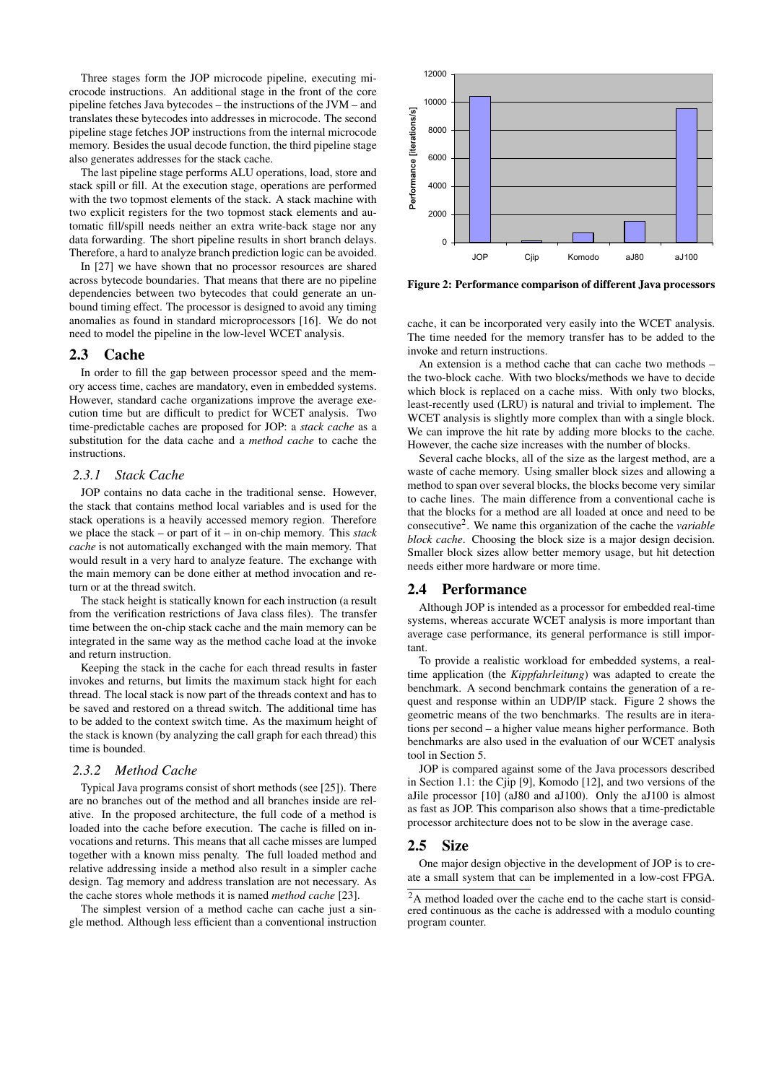Three stages form the JOP microcode pipeline, executing microcode instructions. An additional stage in the front of the core pipeline fetches Java bytecodes – the instructions of the JVM – and translates these bytecodes into addresses in microcode. The second pipeline stage fetches JOP instructions from the internal microcode memory. Besides the usual decode function, the third pipeline stage also generates addresses for the stack cache.

The last pipeline stage performs ALU operations, load, store and stack spill or fill. At the execution stage, operations are performed with the two topmost elements of the stack. A stack machine with two explicit registers for the two topmost stack elements and automatic fill/spill needs neither an extra write-back stage nor any data forwarding. The short pipeline results in short branch delays. Therefore, a hard to analyze branch prediction logic can be avoided.

In [\[27\]](#page-9-20) we have shown that no processor resources are shared across bytecode boundaries. That means that there are no pipeline dependencies between two bytecodes that could generate an unbound timing effect. The processor is designed to avoid any timing anomalies as found in standard microprocessors [\[16\]](#page-9-21). We do not need to model the pipeline in the low-level WCET analysis.

### 2.3 Cache

In order to fill the gap between processor speed and the memory access time, caches are mandatory, even in embedded systems. However, standard cache organizations improve the average execution time but are difficult to predict for WCET analysis. Two time-predictable caches are proposed for JOP: a *stack cache* as a substitution for the data cache and a *method cache* to cache the instructions.

#### *2.3.1 Stack Cache*

JOP contains no data cache in the traditional sense. However, the stack that contains method local variables and is used for the stack operations is a heavily accessed memory region. Therefore we place the stack – or part of it – in on-chip memory. This *stack cache* is not automatically exchanged with the main memory. That would result in a very hard to analyze feature. The exchange with the main memory can be done either at method invocation and return or at the thread switch.

The stack height is statically known for each instruction (a result from the verification restrictions of Java class files). The transfer time between the on-chip stack cache and the main memory can be integrated in the same way as the method cache load at the invoke and return instruction.

Keeping the stack in the cache for each thread results in faster invokes and returns, but limits the maximum stack hight for each thread. The local stack is now part of the threads context and has to be saved and restored on a thread switch. The additional time has to be added to the context switch time. As the maximum height of the stack is known (by analyzing the call graph for each thread) this time is bounded.

#### *2.3.2 Method Cache*

Typical Java programs consist of short methods (see [\[25\]](#page-9-1)). There are no branches out of the method and all branches inside are relative. In the proposed architecture, the full code of a method is loaded into the cache before execution. The cache is filled on invocations and returns. This means that all cache misses are lumped together with a known miss penalty. The full loaded method and relative addressing inside a method also result in a simpler cache design. Tag memory and address translation are not necessary. As the cache stores whole methods it is named *method cache* [\[23\]](#page-9-2).

The simplest version of a method cache can cache just a single method. Although less efficient than a conventional instruction



<span id="page-2-1"></span>Figure 2: Performance comparison of different Java processors

cache, it can be incorporated very easily into the WCET analysis. The time needed for the memory transfer has to be added to the invoke and return instructions.

An extension is a method cache that can cache two methods – the two-block cache. With two blocks/methods we have to decide which block is replaced on a cache miss. With only two blocks, least-recently used (LRU) is natural and trivial to implement. The WCET analysis is slightly more complex than with a single block. We can improve the hit rate by adding more blocks to the cache. However, the cache size increases with the number of blocks.

Several cache blocks, all of the size as the largest method, are a waste of cache memory. Using smaller block sizes and allowing a method to span over several blocks, the blocks become very similar to cache lines. The main difference from a conventional cache is that the blocks for a method are all loaded at once and need to be consecutive[2](#page-2-0) . We name this organization of the cache the *variable block cache*. Choosing the block size is a major design decision. Smaller block sizes allow better memory usage, but hit detection needs either more hardware or more time.

### <span id="page-2-2"></span>2.4 Performance

Although JOP is intended as a processor for embedded real-time systems, whereas accurate WCET analysis is more important than average case performance, its general performance is still important.

To provide a realistic workload for embedded systems, a realtime application (the *Kippfahrleitung*) was adapted to create the benchmark. A second benchmark contains the generation of a request and response within an UDP/IP stack. Figure [2](#page-2-1) shows the geometric means of the two benchmarks. The results are in iterations per second – a higher value means higher performance. Both benchmarks are also used in the evaluation of our WCET analysis tool in Section [5.](#page-8-0)

JOP is compared against some of the Java processors described in Section [1.1:](#page-0-0) the Cjip [\[9\]](#page-9-10), Komodo [\[12\]](#page-9-12), and two versions of the aJile processor [\[10\]](#page-9-8) (aJ80 and aJ100). Only the aJ100 is almost as fast as JOP. This comparison also shows that a time-predictable processor architecture does not to be slow in the average case.

#### 2.5 Size

One major design objective in the development of JOP is to create a small system that can be implemented in a low-cost FPGA.

<span id="page-2-0"></span><sup>&</sup>lt;sup>2</sup>A method loaded over the cache end to the cache start is considered continuous as the cache is addressed with a modulo counting program counter.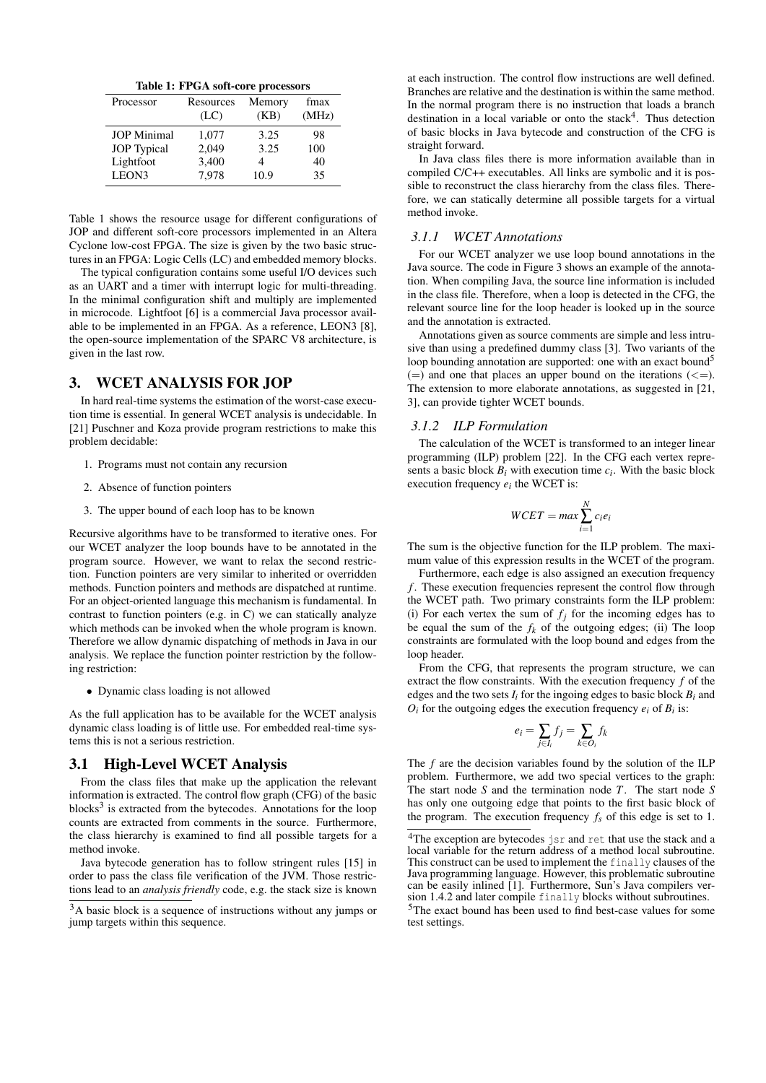<span id="page-3-1"></span>Table 1: FPGA soft-core processors

| Processor          | Resources | Memory | fmax  |
|--------------------|-----------|--------|-------|
|                    | (LC)      | (KB)   | (MHz) |
| <b>JOP</b> Minimal | 1.077     | 3.25   | 98    |
| <b>JOP</b> Typical | 2,049     | 3.25   | 100   |
| Lightfoot          | 3,400     |        | 40    |
| LEON3              | 7.978     | 10.9   | 35    |

Table [1](#page-3-1) shows the resource usage for different configurations of JOP and different soft-core processors implemented in an Altera Cyclone low-cost FPGA. The size is given by the two basic structures in an FPGA: Logic Cells (LC) and embedded memory blocks.

The typical configuration contains some useful I/O devices such as an UART and a timer with interrupt logic for multi-threading. In the minimal configuration shift and multiply are implemented in microcode. Lightfoot [\[6\]](#page-9-9) is a commercial Java processor available to be implemented in an FPGA. As a reference, LEON3 [\[8\]](#page-9-22), the open-source implementation of the SPARC V8 architecture, is given in the last row.

# <span id="page-3-0"></span>3. WCET ANALYSIS FOR JOP

In hard real-time systems the estimation of the worst-case execution time is essential. In general WCET analysis is undecidable. In [\[21\]](#page-9-23) Puschner and Koza provide program restrictions to make this problem decidable:

- 1. Programs must not contain any recursion
- 2. Absence of function pointers
- 3. The upper bound of each loop has to be known

Recursive algorithms have to be transformed to iterative ones. For our WCET analyzer the loop bounds have to be annotated in the program source. However, we want to relax the second restriction. Function pointers are very similar to inherited or overridden methods. Function pointers and methods are dispatched at runtime. For an object-oriented language this mechanism is fundamental. In contrast to function pointers (e.g. in C) we can statically analyze which methods can be invoked when the whole program is known. Therefore we allow dynamic dispatching of methods in Java in our analysis. We replace the function pointer restriction by the following restriction:

• Dynamic class loading is not allowed

As the full application has to be available for the WCET analysis dynamic class loading is of little use. For embedded real-time systems this is not a serious restriction.

#### 3.1 High-Level WCET Analysis

From the class files that make up the application the relevant information is extracted. The control flow graph (CFG) of the basic blocks<sup>[3](#page-3-2)</sup> is extracted from the bytecodes. Annotations for the loop counts are extracted from comments in the source. Furthermore, the class hierarchy is examined to find all possible targets for a method invoke.

Java bytecode generation has to follow stringent rules [\[15\]](#page-9-24) in order to pass the class file verification of the JVM. Those restrictions lead to an *analysis friendly* code, e.g. the stack size is known

at each instruction. The control flow instructions are well defined. Branches are relative and the destination is within the same method. In the normal program there is no instruction that loads a branch destination in a local variable or onto the stack<sup>[4](#page-3-3)</sup>. Thus detection of basic blocks in Java bytecode and construction of the CFG is straight forward.

In Java class files there is more information available than in compiled C/C++ executables. All links are symbolic and it is possible to reconstruct the class hierarchy from the class files. Therefore, we can statically determine all possible targets for a virtual method invoke.

### *3.1.1 WCET Annotations*

For our WCET analyzer we use loop bound annotations in the Java source. The code in Figure [3](#page-4-0) shows an example of the annotation. When compiling Java, the source line information is included in the class file. Therefore, when a loop is detected in the CFG, the relevant source line for the loop header is looked up in the source and the annotation is extracted.

Annotations given as source comments are simple and less intrusive than using a predefined dummy class [\[3\]](#page-9-17). Two variants of the loop bounding annotation are supported: one with an exact bound<sup>[5](#page-3-4)</sup>  $(=)$  and one that places an upper bound on the iterations  $(<=)$ . The extension to more elaborate annotations, as suggested in [\[21,](#page-9-23) [3\]](#page-9-17), can provide tighter WCET bounds.

#### <span id="page-3-5"></span>*3.1.2 ILP Formulation*

The calculation of the WCET is transformed to an integer linear programming (ILP) problem [\[22\]](#page-9-3). In the CFG each vertex represents a basic block  $B_i$  with execution time  $c_i$ . With the basic block execution frequency  $e_i$  the WCET is:

$$
WCET = max \sum_{i=1}^{N} c_i e_i
$$

The sum is the objective function for the ILP problem. The maximum value of this expression results in the WCET of the program.

Furthermore, each edge is also assigned an execution frequency *f*. These execution frequencies represent the control flow through the WCET path. Two primary constraints form the ILP problem: (i) For each vertex the sum of  $f_i$  for the incoming edges has to be equal the sum of the  $f_k$  of the outgoing edges; (ii) The loop constraints are formulated with the loop bound and edges from the loop header.

From the CFG, that represents the program structure, we can extract the flow constraints. With the execution frequency *f* of the edges and the two sets  $I_i$  for the ingoing edges to basic block  $B_i$  and  $O_i$  for the outgoing edges the execution frequency  $e_i$  of  $B_i$  is:

$$
e_i = \sum_{j \in I_i} f_j = \sum_{k \in O_i} f_k
$$

The *f* are the decision variables found by the solution of the ILP problem. Furthermore, we add two special vertices to the graph: The start node *S* and the termination node *T*. The start node *S* has only one outgoing edge that points to the first basic block of the program. The execution frequency  $f_s$  of this edge is set to 1.

<span id="page-3-2"></span><sup>&</sup>lt;sup>3</sup>A basic block is a sequence of instructions without any jumps or jump targets within this sequence.

<span id="page-3-3"></span><sup>&</sup>lt;sup>4</sup>The exception are bytecodes jsr and ret that use the stack and a local variable for the return address of a method local subroutine. This construct can be used to implement the finally clauses of the Java programming language. However, this problematic subroutine can be easily inlined [\[1\]](#page-9-25). Furthermore, Sun's Java compilers version 1.4.2 and later compile finally blocks without subroutines.

<span id="page-3-4"></span><sup>&</sup>lt;sup>5</sup>The exact bound has been used to find best-case values for some test settings.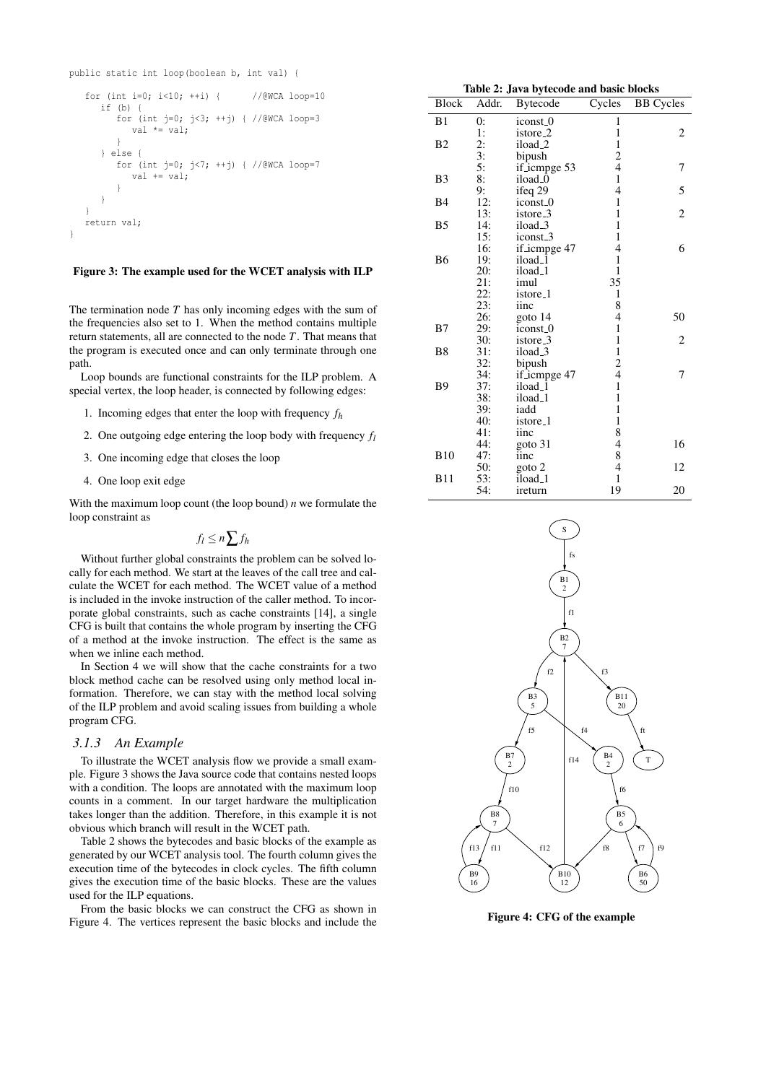```
public static int loop(boolean b, int val) {
```

```
for (int i=0; i < 10; +i) { //@WCA loop=10
     if (b) {
        for (int j=0; j<3; ++j) { //@WCA loop=3
            val * = val:
         }
     } else {
        for (int j=0; j<7; ++j) { //@WCA loop=7
            val += val;
         }
      }
   }
  return val;
}
```
#### <span id="page-4-0"></span>Figure 3: The example used for the WCET analysis with ILP

The termination node *T* has only incoming edges with the sum of the frequencies also set to 1. When the method contains multiple return statements, all are connected to the node *T*. That means that the program is executed once and can only terminate through one path.

Loop bounds are functional constraints for the ILP problem. A special vertex, the loop header, is connected by following edges:

- 1. Incoming edges that enter the loop with frequency *f<sup>h</sup>*
- 2. One outgoing edge entering the loop body with frequency *f<sup>l</sup>*
- 3. One incoming edge that closes the loop
- 4. One loop exit edge

With the maximum loop count (the loop bound) *n* we formulate the loop constraint as

$$
f_l \leq n \sum f_h
$$

Without further global constraints the problem can be solved locally for each method. We start at the leaves of the call tree and calculate the WCET for each method. The WCET value of a method is included in the invoke instruction of the caller method. To incorporate global constraints, such as cache constraints [\[14\]](#page-9-15), a single CFG is built that contains the whole program by inserting the CFG of a method at the invoke instruction. The effect is the same as when we inline each method.

In Section [4](#page-6-0) we will show that the cache constraints for a two block method cache can be resolved using only method local information. Therefore, we can stay with the method local solving of the ILP problem and avoid scaling issues from building a whole program CFG.

#### *3.1.3 An Example*

To illustrate the WCET analysis flow we provide a small example. Figure [3](#page-4-0) shows the Java source code that contains nested loops with a condition. The loops are annotated with the maximum loop counts in a comment. In our target hardware the multiplication takes longer than the addition. Therefore, in this example it is not obvious which branch will result in the WCET path.

Table [2](#page-4-1) shows the bytecodes and basic blocks of the example as generated by our WCET analysis tool. The fourth column gives the execution time of the bytecodes in clock cycles. The fifth column gives the execution time of the basic blocks. These are the values used for the ILP equations.

From the basic blocks we can construct the CFG as shown in Figure [4.](#page-4-2) The vertices represent the basic blocks and include the

<span id="page-4-1"></span>

| Table 2: Java bytecode and basic blocks |       |                      |                |                  |  |
|-----------------------------------------|-------|----------------------|----------------|------------------|--|
| <b>Block</b>                            | Addr. | <b>Bytecode</b>      | Cycles         | <b>BB</b> Cycles |  |
| B <sub>1</sub>                          | 0:    | iconst_0             | 1              |                  |  |
|                                         | 1:    | istore_2             | 1              | 2                |  |
| B <sub>2</sub>                          | 2:    | iload_2              | $\mathbf{1}$   |                  |  |
|                                         | 3:    | bipush               | $\overline{c}$ |                  |  |
|                                         | 5:    | if_icmpge 53         | $\overline{4}$ | 7                |  |
| B <sub>3</sub>                          | 8:    | iload <sub>0</sub>   | $\mathbf{1}$   |                  |  |
|                                         | 9:    | ifeq 29              | 4              | 5                |  |
| B4                                      | 12:   | iconst_0             | $\mathbf{1}$   |                  |  |
|                                         | 13:   | istore_3             | $\mathbf{1}$   | $\overline{2}$   |  |
| B <sub>5</sub>                          | 14:   | iload <sub>-3</sub>  | $\mathbf{1}$   |                  |  |
|                                         | 15:   | iconst <sub>-3</sub> | $\mathbf{1}$   |                  |  |
|                                         | 16:   | if_icmpge 47         | 4              | 6                |  |
| B <sub>6</sub>                          | 19:   | iload_1              | $\mathbf{1}$   |                  |  |
|                                         | 20:   | iload_1              | $\mathbf{1}$   |                  |  |
|                                         | 21:   | imul                 | 35             |                  |  |
|                                         | 22:   | istore_1             | 1              |                  |  |
|                                         | 23:   | iinc                 | 8              |                  |  |
|                                         | 26:   | goto 14              | 4              | 50               |  |
| B7                                      | 29:   | iconst_0             | $\mathbf{1}$   |                  |  |
|                                         | 30:   | istore_3             | $\mathbf{1}$   | 2                |  |
| B8                                      | 31:   | iload_3              | $\mathbf{1}$   |                  |  |
|                                         | 32:   | bipush               | $\overline{c}$ |                  |  |
|                                         | 34:   | if_icmpge 47         | $\overline{4}$ | 7                |  |
| B <sub>9</sub>                          | 37:   | iload_1              | $\mathbf{1}$   |                  |  |
|                                         | 38:   | iload <sub>-1</sub>  | $\mathbf{1}$   |                  |  |
|                                         | 39:   | iadd                 | $\mathbf{1}$   |                  |  |
|                                         | 40:   | istore_1             | $\mathbf{1}$   |                  |  |
|                                         | 41:   | iinc                 | 8              |                  |  |
|                                         | 44:   | goto 31              | 4              | 16               |  |
| <b>B10</b>                              | 47:   | iinc                 | 8              |                  |  |
|                                         | 50:   | goto 2               | 4              | 12               |  |
| <b>B11</b>                              | 53:   | iload_1              | $\mathbf{1}$   |                  |  |
|                                         | 54:   | ireturn              | 19             | 20               |  |



<span id="page-4-2"></span>Figure 4: CFG of the example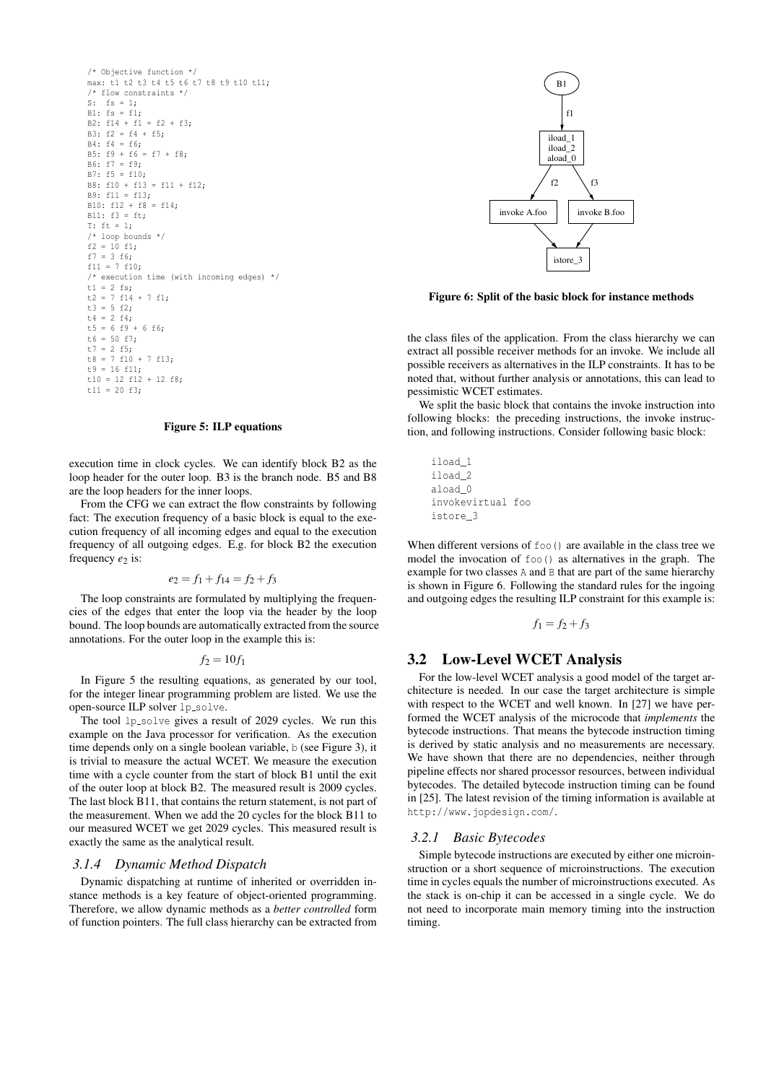/\* Objective function \*/ max: t1 t2 t3 t4 t5 t6 t7 t8 t9 t10 t11; /\* flow constraints \*/ S:  $fs = 1;$  $B1: fs = f1;$ B2:  $f14 + f1 = f2 + f3;$ B3: f2 = f4 + f5;  $B4: f4 = f6;$ B5: f9 + f6 = f7 + f8; B6: f7 = f9;  $B7: f5 = f10:$ B8: f10 + f13 = f11 + f12; B9:  $f11 = f13$ ; B10: f12 + f8 = f14; B11:  $f3 = ft;$ T: ft = 1;<br>/\* loop bounds \*/  $f2 = 10$  f1; f7 =  $3 f6;$  $f11 = 7 f10$ : /\* execution time (with incoming edges) \*/  $t1 = 2$  fs;  $t2 = 7$  f14 + 7 f1;  $t3 = 5$  f2;  $t4 = 2 f4;$  $t5 = 6 f9 + 6 f6;$ t6 =  $50$  f7; t7 = 2 f5; t8 = 7 f10 + 7 f13;  $t9 = 16$  fll; t10 = 12 f12 + 12 f8;  $t11 = 20$  f3;

#### <span id="page-5-0"></span>Figure 5: ILP equations

execution time in clock cycles. We can identify block B2 as the loop header for the outer loop. B3 is the branch node. B5 and B8 are the loop headers for the inner loops.

From the CFG we can extract the flow constraints by following fact: The execution frequency of a basic block is equal to the execution frequency of all incoming edges and equal to the execution frequency of all outgoing edges. E.g. for block B2 the execution frequency  $e_2$  is:

$$
e_2 = f_1 + f_{14} = f_2 + f_3
$$

The loop constraints are formulated by multiplying the frequencies of the edges that enter the loop via the header by the loop bound. The loop bounds are automatically extracted from the source annotations. For the outer loop in the example this is:

 $f_2 = 10f_1$ 

In Figure [5](#page-5-0) the resulting equations, as generated by our tool, for the integer linear programming problem are listed. We use the open-source ILP solver lp\_solve.

The tool 1p\_solve gives a result of 2029 cycles. We run this example on the Java processor for verification. As the execution time depends only on a single boolean variable, b (see Figure [3\)](#page-4-0), it is trivial to measure the actual WCET. We measure the execution time with a cycle counter from the start of block B1 until the exit of the outer loop at block B2. The measured result is 2009 cycles. The last block B11, that contains the return statement, is not part of the measurement. When we add the 20 cycles for the block B11 to our measured WCET we get 2029 cycles. This measured result is exactly the same as the analytical result.

# *3.1.4 Dynamic Method Dispatch*

Dynamic dispatching at runtime of inherited or overridden instance methods is a key feature of object-oriented programming. Therefore, we allow dynamic methods as a *better controlled* form of function pointers. The full class hierarchy can be extracted from



<span id="page-5-1"></span>Figure 6: Split of the basic block for instance methods

the class files of the application. From the class hierarchy we can extract all possible receiver methods for an invoke. We include all possible receivers as alternatives in the ILP constraints. It has to be noted that, without further analysis or annotations, this can lead to pessimistic WCET estimates.

We split the basic block that contains the invoke instruction into following blocks: the preceding instructions, the invoke instruction, and following instructions. Consider following basic block:

iload\_1 iload\_2 aload\_0 invokevirtual foo istore\_3

When different versions of foo() are available in the class tree we model the invocation of foo() as alternatives in the graph. The example for two classes A and B that are part of the same hierarchy is shown in Figure [6.](#page-5-1) Following the standard rules for the ingoing and outgoing edges the resulting ILP constraint for this example is:

$$
f_1 = f_2 + f_3
$$

#### 3.2 Low-Level WCET Analysis

For the low-level WCET analysis a good model of the target architecture is needed. In our case the target architecture is simple with respect to the WCET and well known. In [\[27\]](#page-9-20) we have performed the WCET analysis of the microcode that *implements* the bytecode instructions. That means the bytecode instruction timing is derived by static analysis and no measurements are necessary. We have shown that there are no dependencies, neither through pipeline effects nor shared processor resources, between individual bytecodes. The detailed bytecode instruction timing can be found in [\[25\]](#page-9-1). The latest revision of the timing information is available at <http://www.jopdesign.com/>.

### *3.2.1 Basic Bytecodes*

Simple bytecode instructions are executed by either one microinstruction or a short sequence of microinstructions. The execution time in cycles equals the number of microinstructions executed. As the stack is on-chip it can be accessed in a single cycle. We do not need to incorporate main memory timing into the instruction timing.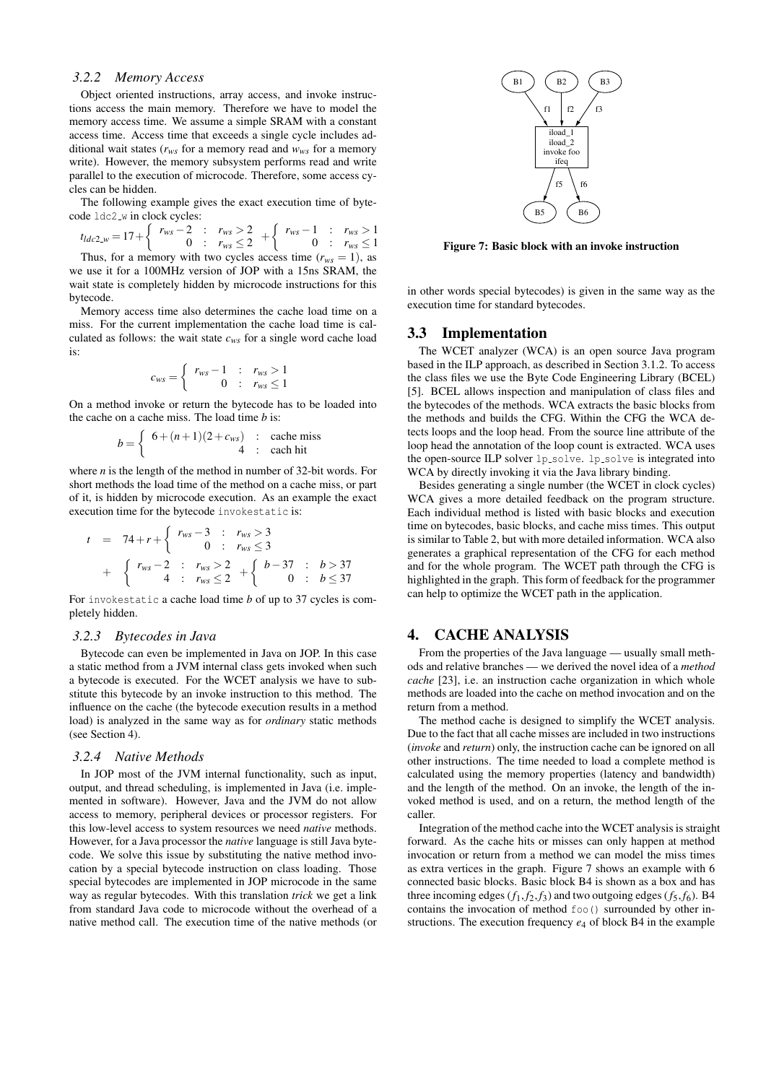#### *3.2.2 Memory Access*

Object oriented instructions, array access, and invoke instructions access the main memory. Therefore we have to model the memory access time. We assume a simple SRAM with a constant access time. Access time that exceeds a single cycle includes additional wait states ( $r_{ws}$  for a memory read and  $w_{ws}$  for a memory write). However, the memory subsystem performs read and write parallel to the execution of microcode. Therefore, some access cycles can be hidden.

The following example gives the exact execution time of bytecode  $ldc2_w$  in clock cycles:

$$
t_{ldc2,w} = 17 + \left\{ \begin{array}{rcl} r_{ws} - 2 & : & r_{ws} > 2 \\ 0 & : & r_{ws} \le 2 \end{array} + \left\{ \begin{array}{rcl} r_{ws} - 1 & : & r_{ws} > 1 \\ 0 & : & r_{ws} \le 1 \end{array} \right.
$$
\nThus, for a memory with two cycles access time  $(r_{ws} = 1)$ , as

we use it for a 100MHz version of JOP with a 15ns SRAM, the wait state is completely hidden by microcode instructions for this bytecode.

Memory access time also determines the cache load time on a miss. For the current implementation the cache load time is calculated as follows: the wait state  $c_{ws}$  for a single word cache load is:

$$
c_{ws} = \left\{ \begin{array}{rcl} r_{ws} - 1 & : & r_{ws} > 1 \\ 0 & : & r_{ws} \le 1 \end{array} \right.
$$

On a method invoke or return the bytecode has to be loaded into the cache on a cache miss. The load time *b* is:

$$
b = \begin{cases} 6 + (n+1)(2 + c_{ws}) & \text{: cache miss} \\ 4 & \text{: cache hit} \end{cases}
$$

where *n* is the length of the method in number of 32-bit words. For short methods the load time of the method on a cache miss, or part of it, is hidden by microcode execution. As an example the exact execution time for the bytecode invokestatic is:

$$
t = 74 + r + \begin{cases} r_{ws} - 3 & : r_{ws} > 3 \\ 0 & : r_{ws} \le 3 \end{cases}
$$
  
+ 
$$
\begin{cases} r_{ws} - 2 & : r_{ws} > 2 \\ 4 & : r_{ws} \le 2 \end{cases} + \begin{cases} b - 37 & : b > 37 \\ 0 & : b \le 37 \end{cases}
$$

For invokestatic a cache load time *b* of up to 37 cycles is completely hidden.

#### *3.2.3 Bytecodes in Java*

Bytecode can even be implemented in Java on JOP. In this case a static method from a JVM internal class gets invoked when such a bytecode is executed. For the WCET analysis we have to substitute this bytecode by an invoke instruction to this method. The influence on the cache (the bytecode execution results in a method load) is analyzed in the same way as for *ordinary* static methods (see Section [4\)](#page-6-0).

#### *3.2.4 Native Methods*

In JOP most of the JVM internal functionality, such as input, output, and thread scheduling, is implemented in Java (i.e. implemented in software). However, Java and the JVM do not allow access to memory, peripheral devices or processor registers. For this low-level access to system resources we need *native* methods. However, for a Java processor the *native* language is still Java bytecode. We solve this issue by substituting the native method invocation by a special bytecode instruction on class loading. Those special bytecodes are implemented in JOP microcode in the same way as regular bytecodes. With this translation *trick* we get a link from standard Java code to microcode without the overhead of a native method call. The execution time of the native methods (or



<span id="page-6-1"></span>Figure 7: Basic block with an invoke instruction

in other words special bytecodes) is given in the same way as the execution time for standard bytecodes.

### 3.3 Implementation

The WCET analyzer (WCA) is an open source Java program based in the ILP approach, as described in Section [3.1.2.](#page-3-5) To access the class files we use the Byte Code Engineering Library (BCEL) [\[5\]](#page-9-26). BCEL allows inspection and manipulation of class files and the bytecodes of the methods. WCA extracts the basic blocks from the methods and builds the CFG. Within the CFG the WCA detects loops and the loop head. From the source line attribute of the loop head the annotation of the loop count is extracted. WCA uses the open-source ILP solver lp\_solve. lp\_solve is integrated into WCA by directly invoking it via the Java library binding.

Besides generating a single number (the WCET in clock cycles) WCA gives a more detailed feedback on the program structure. Each individual method is listed with basic blocks and execution time on bytecodes, basic blocks, and cache miss times. This output is similar to Table [2,](#page-4-1) but with more detailed information. WCA also generates a graphical representation of the CFG for each method and for the whole program. The WCET path through the CFG is highlighted in the graph. This form of feedback for the programmer can help to optimize the WCET path in the application.

### <span id="page-6-0"></span>4. CACHE ANALYSIS

From the properties of the Java language — usually small methods and relative branches — we derived the novel idea of a *method cache* [\[23\]](#page-9-2), i.e. an instruction cache organization in which whole methods are loaded into the cache on method invocation and on the return from a method.

The method cache is designed to simplify the WCET analysis. Due to the fact that all cache misses are included in two instructions (*invoke* and *return*) only, the instruction cache can be ignored on all other instructions. The time needed to load a complete method is calculated using the memory properties (latency and bandwidth) and the length of the method. On an invoke, the length of the invoked method is used, and on a return, the method length of the caller.

Integration of the method cache into the WCET analysis is straight forward. As the cache hits or misses can only happen at method invocation or return from a method we can model the miss times as extra vertices in the graph. Figure [7](#page-6-1) shows an example with 6 connected basic blocks. Basic block B4 is shown as a box and has three incoming edges  $(f_1, f_2, f_3)$  and two outgoing edges  $(f_5, f_6)$ . B4 contains the invocation of method foo() surrounded by other instructions. The execution frequency *e*<sup>4</sup> of block B4 in the example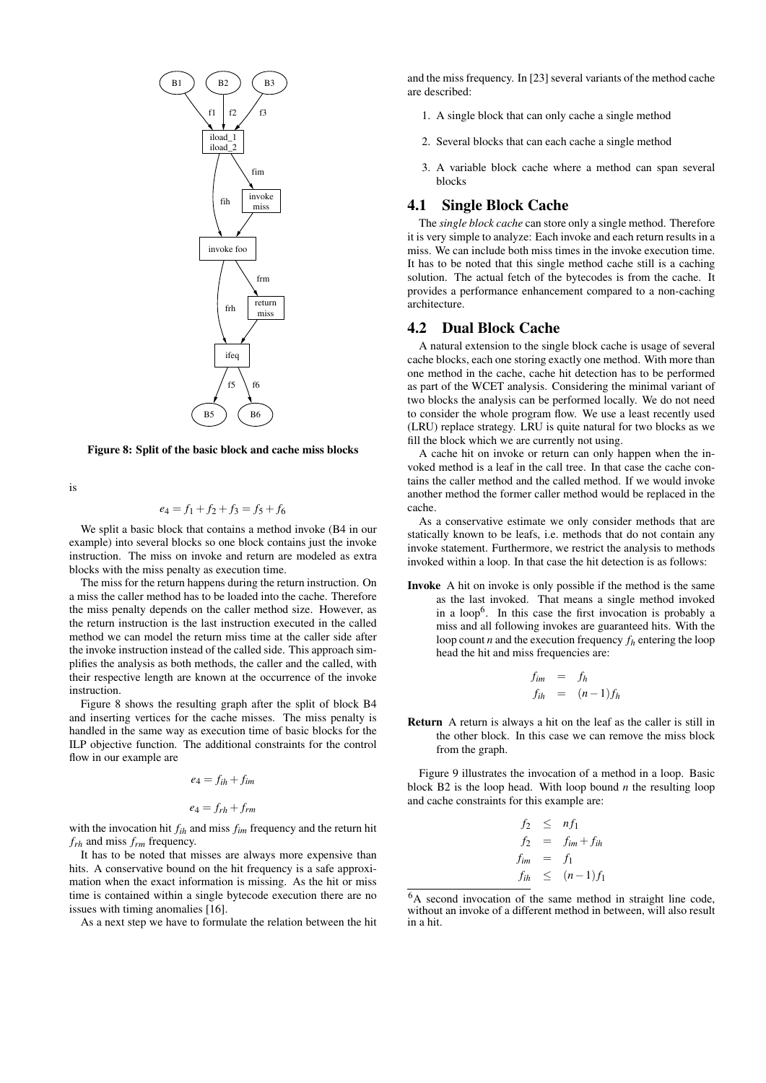

<span id="page-7-0"></span>Figure 8: Split of the basic block and cache miss blocks

is

$$
e_4 = f_1 + f_2 + f_3 = f_5 + f_6
$$

We split a basic block that contains a method invoke (B4 in our example) into several blocks so one block contains just the invoke instruction. The miss on invoke and return are modeled as extra blocks with the miss penalty as execution time.

The miss for the return happens during the return instruction. On a miss the caller method has to be loaded into the cache. Therefore the miss penalty depends on the caller method size. However, as the return instruction is the last instruction executed in the called method we can model the return miss time at the caller side after the invoke instruction instead of the called side. This approach simplifies the analysis as both methods, the caller and the called, with their respective length are known at the occurrence of the invoke instruction.

Figure [8](#page-7-0) shows the resulting graph after the split of block B4 and inserting vertices for the cache misses. The miss penalty is handled in the same way as execution time of basic blocks for the ILP objective function. The additional constraints for the control flow in our example are

$$
e_4 = f_{ih} + f_{im}
$$

$$
e_4 = f_{rh} + f_{rm}
$$

with the invocation hit *fih* and miss *fim* frequency and the return hit *frh* and miss *frm* frequency.

It has to be noted that misses are always more expensive than hits. A conservative bound on the hit frequency is a safe approximation when the exact information is missing. As the hit or miss time is contained within a single bytecode execution there are no issues with timing anomalies [\[16\]](#page-9-21).

As a next step we have to formulate the relation between the hit

and the miss frequency. In [\[23\]](#page-9-2) several variants of the method cache are described:

- 1. A single block that can only cache a single method
- 2. Several blocks that can each cache a single method
- 3. A variable block cache where a method can span several blocks

## 4.1 Single Block Cache

The *single block cache* can store only a single method. Therefore it is very simple to analyze: Each invoke and each return results in a miss. We can include both miss times in the invoke execution time. It has to be noted that this single method cache still is a caching solution. The actual fetch of the bytecodes is from the cache. It provides a performance enhancement compared to a non-caching architecture.

### 4.2 Dual Block Cache

A natural extension to the single block cache is usage of several cache blocks, each one storing exactly one method. With more than one method in the cache, cache hit detection has to be performed as part of the WCET analysis. Considering the minimal variant of two blocks the analysis can be performed locally. We do not need to consider the whole program flow. We use a least recently used (LRU) replace strategy. LRU is quite natural for two blocks as we fill the block which we are currently not using.

A cache hit on invoke or return can only happen when the invoked method is a leaf in the call tree. In that case the cache contains the caller method and the called method. If we would invoke another method the former caller method would be replaced in the cache.

As a conservative estimate we only consider methods that are statically known to be leafs, i.e. methods that do not contain any invoke statement. Furthermore, we restrict the analysis to methods invoked within a loop. In that case the hit detection is as follows:

Invoke A hit on invoke is only possible if the method is the same as the last invoked. That means a single method invoked in a loop[6](#page-7-1) . In this case the first invocation is probably a miss and all following invokes are guaranteed hits. With the loop count *n* and the execution frequency  $f_h$  entering the loop head the hit and miss frequencies are:

$$
f_{im} = f_h
$$
  

$$
f_{ih} = (n-1)f_h
$$

Return A return is always a hit on the leaf as the caller is still in the other block. In this case we can remove the miss block from the graph.

Figure [9](#page-8-2) illustrates the invocation of a method in a loop. Basic block B2 is the loop head. With loop bound *n* the resulting loop and cache constraints for this example are:

$$
f_2 \leq nf_1
$$
  
\n
$$
f_2 = f_{im} + f_{ih}
$$
  
\n
$$
f_{im} = f_1
$$
  
\n
$$
f_{ih} \leq (n-1)f_1
$$

<span id="page-7-1"></span> ${}^{6}$ A second invocation of the same method in straight line code. without an invoke of a different method in between, will also result in a hit.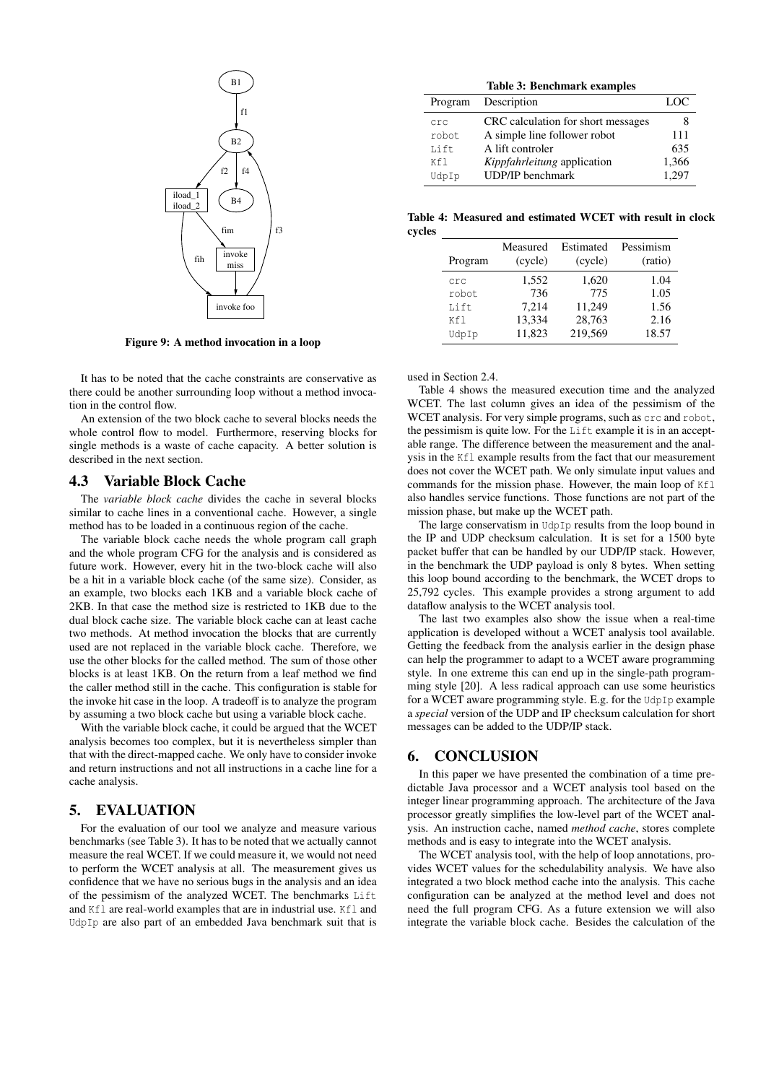

<span id="page-8-2"></span>Figure 9: A method invocation in a loop

It has to be noted that the cache constraints are conservative as there could be another surrounding loop without a method invocation in the control flow.

An extension of the two block cache to several blocks needs the whole control flow to model. Furthermore, reserving blocks for single methods is a waste of cache capacity. A better solution is described in the next section.

# 4.3 Variable Block Cache

The *variable block cache* divides the cache in several blocks similar to cache lines in a conventional cache. However, a single method has to be loaded in a continuous region of the cache.

The variable block cache needs the whole program call graph and the whole program CFG for the analysis and is considered as future work. However, every hit in the two-block cache will also be a hit in a variable block cache (of the same size). Consider, as an example, two blocks each 1KB and a variable block cache of 2KB. In that case the method size is restricted to 1KB due to the dual block cache size. The variable block cache can at least cache two methods. At method invocation the blocks that are currently used are not replaced in the variable block cache. Therefore, we use the other blocks for the called method. The sum of those other blocks is at least 1KB. On the return from a leaf method we find the caller method still in the cache. This configuration is stable for the invoke hit case in the loop. A tradeoff is to analyze the program by assuming a two block cache but using a variable block cache.

With the variable block cache, it could be argued that the WCET analysis becomes too complex, but it is nevertheless simpler than that with the direct-mapped cache. We only have to consider invoke and return instructions and not all instructions in a cache line for a cache analysis.

# <span id="page-8-0"></span>5. EVALUATION

For the evaluation of our tool we analyze and measure various benchmarks (see Table [3\)](#page-8-3). It has to be noted that we actually cannot measure the real WCET. If we could measure it, we would not need to perform the WCET analysis at all. The measurement gives us confidence that we have no serious bugs in the analysis and an idea of the pessimism of the analyzed WCET. The benchmarks Lift and Kfl are real-world examples that are in industrial use. Kfl and UdpIp are also part of an embedded Java benchmark suit that is

<span id="page-8-3"></span>

| <b>Table 3: Benchmark examples</b> |                                    |       |  |  |  |
|------------------------------------|------------------------------------|-------|--|--|--|
| Program                            | Description                        | LOC.  |  |  |  |
| crc                                | CRC calculation for short messages |       |  |  |  |
| robot.                             | A simple line follower robot       | 111   |  |  |  |
| Lift.                              | A lift controler                   | 635   |  |  |  |
| Kf1                                | Kippfahrleitung application        | 1,366 |  |  |  |
| UdpIp                              | <b>UDP/IP</b> benchmark            | 1.297 |  |  |  |

Table 4: Measured and estimated WCET with result in clock cycles

<span id="page-8-4"></span>

| Program | Measured<br>(cycle) | Estimated<br>(cycle) | Pessimism<br>(ratio) |
|---------|---------------------|----------------------|----------------------|
| crc     | 1,552               | 1,620                | 1.04                 |
| robot   | 736                 | 775                  | 1.05                 |
| Lift    | 7,214               | 11,249               | 1.56                 |
| Kf1     | 13,334              | 28,763               | 2.16                 |
| UdpIp   | 11,823              | 219,569              | 18.57                |

used in Section [2.4.](#page-2-2)

Table [4](#page-8-4) shows the measured execution time and the analyzed WCET. The last column gives an idea of the pessimism of the WCET analysis. For very simple programs, such as crc and robot, the pessimism is quite low. For the Lift example it is in an acceptable range. The difference between the measurement and the analysis in the Kfl example results from the fact that our measurement does not cover the WCET path. We only simulate input values and commands for the mission phase. However, the main loop of Kfl also handles service functions. Those functions are not part of the mission phase, but make up the WCET path.

The large conservatism in UdpIp results from the loop bound in the IP and UDP checksum calculation. It is set for a 1500 byte packet buffer that can be handled by our UDP/IP stack. However, in the benchmark the UDP payload is only 8 bytes. When setting this loop bound according to the benchmark, the WCET drops to 25,792 cycles. This example provides a strong argument to add dataflow analysis to the WCET analysis tool.

The last two examples also show the issue when a real-time application is developed without a WCET analysis tool available. Getting the feedback from the analysis earlier in the design phase can help the programmer to adapt to a WCET aware programming style. In one extreme this can end up in the single-path programming style [\[20\]](#page-9-27). A less radical approach can use some heuristics for a WCET aware programming style. E.g. for the UdpIp example a *special* version of the UDP and IP checksum calculation for short messages can be added to the UDP/IP stack.

### <span id="page-8-1"></span>6. CONCLUSION

In this paper we have presented the combination of a time predictable Java processor and a WCET analysis tool based on the integer linear programming approach. The architecture of the Java processor greatly simplifies the low-level part of the WCET analysis. An instruction cache, named *method cache*, stores complete methods and is easy to integrate into the WCET analysis.

The WCET analysis tool, with the help of loop annotations, provides WCET values for the schedulability analysis. We have also integrated a two block method cache into the analysis. This cache configuration can be analyzed at the method level and does not need the full program CFG. As a future extension we will also integrate the variable block cache. Besides the calculation of the